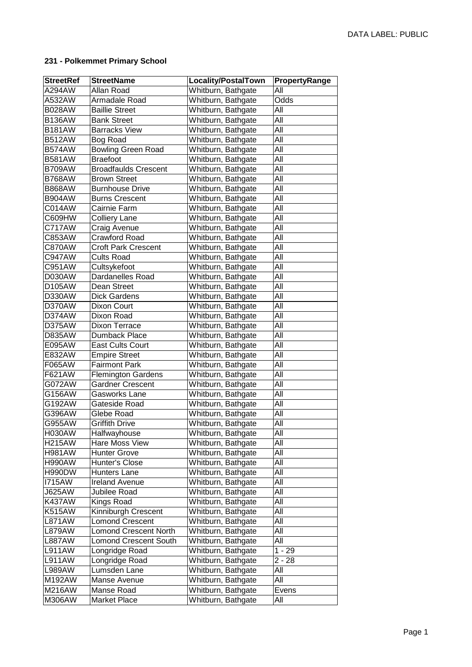## **231 - Polkemmet Primary School**

| <b>StreetRef</b> | <b>StreetName</b>            | <b>Locality/PostalTown</b> | PropertyRange |
|------------------|------------------------------|----------------------------|---------------|
| A294AW           | Allan Road                   | Whitburn, Bathgate         | All           |
| A532AW           | Armadale Road                | Whitburn, Bathgate         | Odds          |
| B028AW           | <b>Baillie Street</b>        | Whitburn, Bathgate         | All           |
| <b>B136AW</b>    | <b>Bank Street</b>           | Whitburn, Bathgate         | All           |
| <b>B181AW</b>    | <b>Barracks View</b>         | Whitburn, Bathgate         | All           |
| <b>B512AW</b>    | <b>Bog Road</b>              | Whitburn, Bathgate         | All           |
| <b>B574AW</b>    | <b>Bowling Green Road</b>    | Whitburn, Bathgate         | All           |
| <b>B581AW</b>    | <b>Braefoot</b>              | Whitburn, Bathgate         | All           |
| <b>B709AW</b>    | <b>Broadfaulds Crescent</b>  | Whitburn, Bathgate         | All           |
| <b>B768AW</b>    | <b>Brown Street</b>          | Whitburn, Bathgate         | All           |
| <b>B868AW</b>    | <b>Burnhouse Drive</b>       | Whitburn, Bathgate         | All           |
| <b>B904AW</b>    | <b>Burns Crescent</b>        | Whitburn, Bathgate         | All           |
| C014AW           | Cairnie Farm                 | Whitburn, Bathgate         | All           |
| C609HW           | <b>Colliery Lane</b>         | Whitburn, Bathgate         | All           |
| C717AW           | Craig Avenue                 | Whitburn, Bathgate         | All           |
| C853AW           | <b>Crawford Road</b>         | Whitburn, Bathgate         | All           |
| <b>C870AW</b>    | <b>Croft Park Crescent</b>   | Whitburn, Bathgate         | All           |
| C947AW           | <b>Cults Road</b>            | Whitburn, Bathgate         | All           |
| C951AW           | Cultsykefoot                 | Whitburn, Bathgate         | All           |
| D030AW           | Dardanelles Road             | Whitburn, Bathgate         | All           |
| D105AW           | Dean Street                  | Whitburn, Bathgate         | All           |
| D330AW           | <b>Dick Gardens</b>          | Whitburn, Bathgate         | All           |
| D370AW           | Dixon Court                  | Whitburn, Bathgate         | All           |
| D374AW           | Dixon Road                   | Whitburn, Bathgate         | All           |
| D375AW           | <b>Dixon Terrace</b>         | Whitburn, Bathgate         | All           |
| D835AW           | Dumback Place                | Whitburn, Bathgate         | All           |
| E095AW           | <b>East Cults Court</b>      | Whitburn, Bathgate         | All           |
| E832AW           | <b>Empire Street</b>         | Whitburn, Bathgate         | All           |
| F065AW           | <b>Fairmont Park</b>         | Whitburn, Bathgate         | All           |
| F621AW           | <b>Flemington Gardens</b>    | Whitburn, Bathgate         | All           |
| G072AW           | <b>Gardner Crescent</b>      | Whitburn, Bathgate         | All           |
| G156AW           | Gasworks Lane                | Whitburn, Bathgate         | All           |
| G192AW           | Gateside Road                | Whitburn, Bathgate         | All           |
| G396AW           | Glebe Road                   | Whitburn, Bathgate         | All           |
| G955AW           | Griffith Drive               | Whitburn, Bathgate         | All           |
| <b>H030AW</b>    | Halfwayhouse                 | Whitburn, Bathgate         | $AI\bar{I}$   |
| <b>H215AW</b>    | Hare Moss View               | Whitburn, Bathgate         | All           |
| <b>H981AW</b>    | <b>Hunter Grove</b>          | Whitburn, Bathgate         | All           |
| <b>H990AW</b>    | Hunter's Close               | Whitburn, Bathgate         | All           |
| <b>H990DW</b>    | Hunters Lane                 | Whitburn, Bathgate         | All           |
| <b>I715AW</b>    | <b>Ireland Avenue</b>        | Whitburn, Bathgate         | All           |
| <b>J625AW</b>    | Jubilee Road                 | Whitburn, Bathgate         | All           |
| <b>K437AW</b>    | Kings Road                   | Whitburn, Bathgate         | All           |
| <b>K515AW</b>    | Kinniburgh Crescent          | Whitburn, Bathgate         | All           |
| <b>L871AW</b>    | <b>Lomond Crescent</b>       | Whitburn, Bathgate         | All           |
| <b>L879AW</b>    | <b>Lomond Crescent North</b> | Whitburn, Bathgate         | All           |
| L887AW           | <b>Lomond Crescent South</b> | Whitburn, Bathgate         | All           |
| L911AW           | Longridge Road               | Whitburn, Bathgate         | $1 - 29$      |
| <b>L911AW</b>    | Longridge Road               | Whitburn, Bathgate         | $2 - 28$      |
| L989AW           | Lumsden Lane                 | Whitburn, Bathgate         | All           |
| M192AW           | Manse Avenue                 | Whitburn, Bathgate         | All           |
| M216AW           | Manse Road                   | Whitburn, Bathgate         | Evens         |
| M306AW           | Market Place                 | Whitburn, Bathgate         | All           |